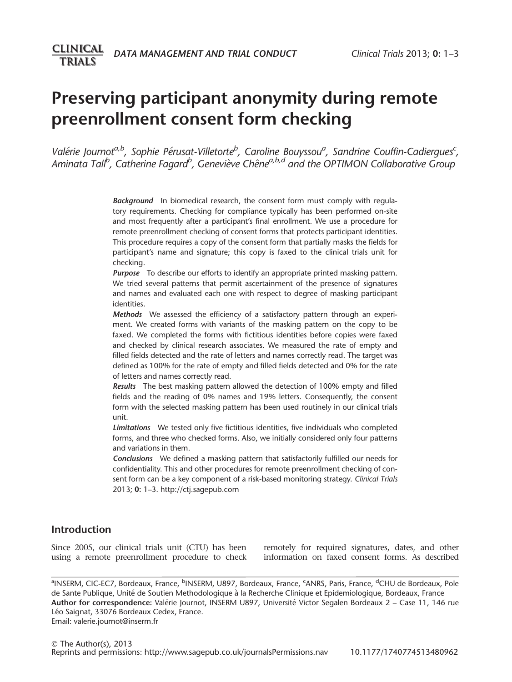# Preserving participant anonymity during remote preenrollment consent form checking

Valérie Journot<sup>a, b</sup>, Sophie Pérusat-Villetorte<sup>b</sup>, Caroline Bouyssou<sup>a</sup>, Sandrine Couffin-Cadiergues<sup>c</sup>, Aminata Tall<sup>b</sup>, Catherine Fagard<sup>b</sup>, Geneviève Chêne<sup>a,b,d</sup> and the OPTIMON Collaborative Group

> Background In biomedical research, the consent form must comply with regulatory requirements. Checking for compliance typically has been performed on-site and most frequently after a participant's final enrollment. We use a procedure for remote preenrollment checking of consent forms that protects participant identities. This procedure requires a copy of the consent form that partially masks the fields for participant's name and signature; this copy is faxed to the clinical trials unit for checking.

> **Purpose** To describe our efforts to identify an appropriate printed masking pattern. We tried several patterns that permit ascertainment of the presence of signatures and names and evaluated each one with respect to degree of masking participant identities.

> Methods We assessed the efficiency of a satisfactory pattern through an experiment. We created forms with variants of the masking pattern on the copy to be faxed. We completed the forms with fictitious identities before copies were faxed and checked by clinical research associates. We measured the rate of empty and filled fields detected and the rate of letters and names correctly read. The target was defined as 100% for the rate of empty and filled fields detected and 0% for the rate of letters and names correctly read.

> Results The best masking pattern allowed the detection of 100% empty and filled fields and the reading of 0% names and 19% letters. Consequently, the consent form with the selected masking pattern has been used routinely in our clinical trials unit.

> Limitations We tested only five fictitious identities, five individuals who completed forms, and three who checked forms. Also, we initially considered only four patterns and variations in them.

> Conclusions We defined a masking pattern that satisfactorily fulfilled our needs for confidentiality. This and other procedures for remote preenrollment checking of consent form can be a key component of a risk-based monitoring strategy. Clinical Trials 2013; 0: 1–3. http://ctj.sagepub.com

# Introduction

Since 2005, our clinical trials unit (CTU) has been using a remote preenrollment procedure to check

remotely for required signatures, dates, and other information on faxed consent forms. As described

ªINSERM, CIC-EC7, Bordeaux, France, <sup>b</sup>INSERM, U897, Bordeaux, France, <sup>c</sup>ANRS, Paris, France, <sup>d</sup>CHU de Bordeaux, Pole de Sante Publique, Unité de Soutien Methodologique à la Recherche Clinique et Epidemiologique, Bordeaux, France Author for correspondence: Valérie Journot, INSERM U897, Université Victor Segalen Bordeaux 2 – Case 11, 146 rue Léo Saignat, 33076 Bordeaux Cedex, France. Email: valerie.journot@inserm.fr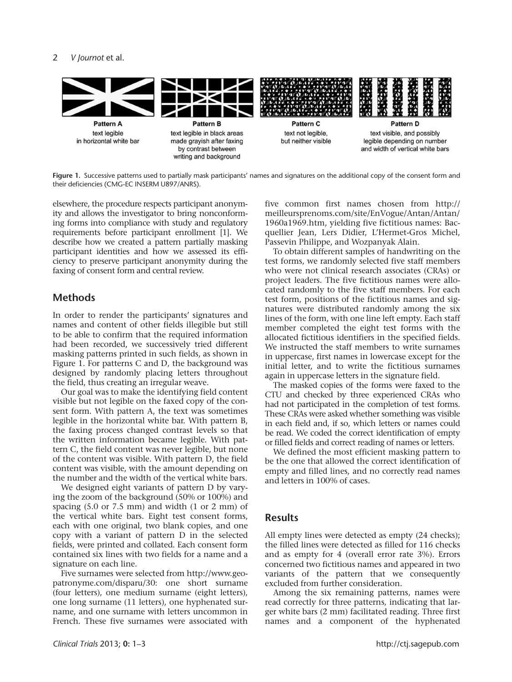#### 2 V Journot et al.



Figure 1. Successive patterns used to partially mask participants' names and signatures on the additional copy of the consent form and their deficiencies (CMG-EC INSERM U897/ANRS).

elsewhere, the procedure respects participant anonymity and allows the investigator to bring nonconforming forms into compliance with study and regulatory requirements before participant enrollment [1]. We describe how we created a pattern partially masking participant identities and how we assessed its efficiency to preserve participant anonymity during the faxing of consent form and central review.

## **Methods**

In order to render the participants' signatures and names and content of other fields illegible but still to be able to confirm that the required information had been recorded, we successively tried different masking patterns printed in such fields, as shown in Figure 1. For patterns C and D, the background was designed by randomly placing letters throughout the field, thus creating an irregular weave.

Our goal was to make the identifying field content visible but not legible on the faxed copy of the consent form. With pattern A, the text was sometimes legible in the horizontal white bar. With pattern B, the faxing process changed contrast levels so that the written information became legible. With pattern C, the field content was never legible, but none of the content was visible. With pattern D, the field content was visible, with the amount depending on the number and the width of the vertical white bars.

We designed eight variants of pattern D by varying the zoom of the background (50% or 100%) and spacing  $(5.0 \text{ or } 7.5 \text{ mm})$  and width  $(1 \text{ or } 2 \text{ mm})$  of the vertical white bars. Eight test consent forms, each with one original, two blank copies, and one copy with a variant of pattern D in the selected fields, were printed and collated. Each consent form contained six lines with two fields for a name and a signature on each line.

Five surnames were selected from http://www.geopatronyme.com/disparu/30: one short surname (four letters), one medium surname (eight letters), one long surname (11 letters), one hyphenated surname, and one surname with letters uncommon in French. These five surnames were associated with five common first names chosen from http:// meilleursprenoms.com/site/EnVogue/Antan/Antan/ 1960a1969.htm, yielding five fictitious names: Bacquellier Jean, Lers Didier, L'Hermet-Gros Michel, Passevin Philippe, and Wozpanyak Alain.

To obtain different samples of handwriting on the test forms, we randomly selected five staff members who were not clinical research associates (CRAs) or project leaders. The five fictitious names were allocated randomly to the five staff members. For each test form, positions of the fictitious names and signatures were distributed randomly among the six lines of the form, with one line left empty. Each staff member completed the eight test forms with the allocated fictitious identifiers in the specified fields. We instructed the staff members to write surnames in uppercase, first names in lowercase except for the initial letter, and to write the fictitious surnames again in uppercase letters in the signature field.

The masked copies of the forms were faxed to the CTU and checked by three experienced CRAs who had not participated in the completion of test forms. These CRAs were asked whether something was visible in each field and, if so, which letters or names could be read. We coded the correct identification of empty or filled fields and correct reading of names or letters.

We defined the most efficient masking pattern to be the one that allowed the correct identification of empty and filled lines, and no correctly read names and letters in 100% of cases.

### **Results**

All empty lines were detected as empty (24 checks); the filled lines were detected as filled for 116 checks and as empty for 4 (overall error rate 3%). Errors concerned two fictitious names and appeared in two variants of the pattern that we consequently excluded from further consideration.

Among the six remaining patterns, names were read correctly for three patterns, indicating that larger white bars (2 mm) facilitated reading. Three first names and a component of the hyphenated